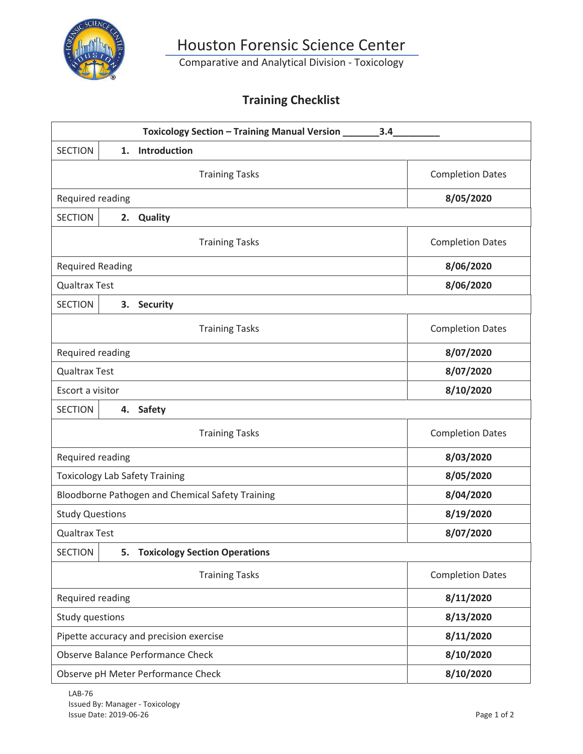

Comparative and Analytical Division - Toxicology

### **Training Checklist**

| Toxicology Section - Training Manual Version ______<br>3.4   |                         |
|--------------------------------------------------------------|-------------------------|
| 1. Introduction<br><b>SECTION</b>                            |                         |
| <b>Training Tasks</b>                                        | <b>Completion Dates</b> |
| Required reading                                             | 8/05/2020               |
| <b>SECTION</b><br><b>Quality</b><br>2.                       |                         |
| <b>Training Tasks</b>                                        | <b>Completion Dates</b> |
| <b>Required Reading</b>                                      | 8/06/2020               |
| <b>Qualtrax Test</b>                                         | 8/06/2020               |
| <b>SECTION</b><br>3. Security                                |                         |
| <b>Training Tasks</b>                                        | <b>Completion Dates</b> |
| Required reading                                             | 8/07/2020               |
| <b>Qualtrax Test</b>                                         | 8/07/2020               |
| Escort a visitor                                             | 8/10/2020               |
| <b>Safety</b><br><b>SECTION</b><br>4.                        |                         |
| <b>Training Tasks</b>                                        | <b>Completion Dates</b> |
| Required reading                                             | 8/03/2020               |
| <b>Toxicology Lab Safety Training</b>                        | 8/05/2020               |
| Bloodborne Pathogen and Chemical Safety Training             | 8/04/2020               |
| <b>Study Questions</b>                                       | 8/19/2020               |
| <b>Qualtrax Test</b>                                         | 8/07/2020               |
| <b>Toxicology Section Operations</b><br><b>SECTION</b><br>5. |                         |
| <b>Training Tasks</b>                                        | <b>Completion Dates</b> |
| Required reading                                             | 8/11/2020               |
| Study questions                                              | 8/13/2020               |
| Pipette accuracy and precision exercise                      | 8/11/2020               |
| Observe Balance Performance Check                            | 8/10/2020               |
| Observe pH Meter Performance Check                           | 8/10/2020               |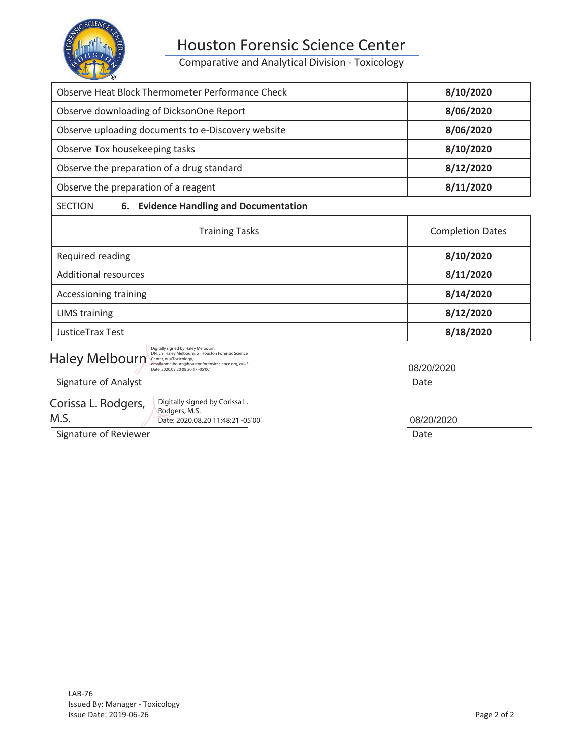

Comparative and Analytical Division - Toxicology

| Observe Heat Block Thermometer Performance Check                                                                                                                                                                             | 8/10/2020               |
|------------------------------------------------------------------------------------------------------------------------------------------------------------------------------------------------------------------------------|-------------------------|
| Observe downloading of DicksonOne Report                                                                                                                                                                                     | 8/06/2020               |
| Observe uploading documents to e-Discovery website                                                                                                                                                                           | 8/06/2020               |
| Observe Tox housekeeping tasks                                                                                                                                                                                               | 8/10/2020               |
| Observe the preparation of a drug standard                                                                                                                                                                                   | 8/12/2020               |
| Observe the preparation of a reagent                                                                                                                                                                                         | 8/11/2020               |
| <b>SECTION</b><br><b>Evidence Handling and Documentation</b><br>6.                                                                                                                                                           |                         |
| <b>Training Tasks</b>                                                                                                                                                                                                        | <b>Completion Dates</b> |
| Required reading                                                                                                                                                                                                             | 8/10/2020               |
| <b>Additional resources</b>                                                                                                                                                                                                  | 8/11/2020               |
| Accessioning training                                                                                                                                                                                                        | 8/14/2020               |
| <b>LIMS</b> training                                                                                                                                                                                                         | 8/12/2020               |
| <b>JusticeTrax Test</b>                                                                                                                                                                                                      | 8/18/2020               |
| Digitally signed by Haley Melbourn<br>DN: cn=Haley Melbourn, o=Houston Forensic Science<br>Haley Melbourn<br>Center, ou=Toxicology,<br>email=hmelbourn@houstonforensicscience.org, c=US<br>Date: 2020.08.20 08:20:17 -05'00' | 08/20/2020              |
| <b>Signature of Analyst</b>                                                                                                                                                                                                  | Date                    |

Corissa L. Rodgers, M.S.

Digitally signed by Corissa L. Rodgers, M.S. Date: 2020.08.20 11:48:21 -05'00'

08/20/2020

Signature of Reviewer **Date**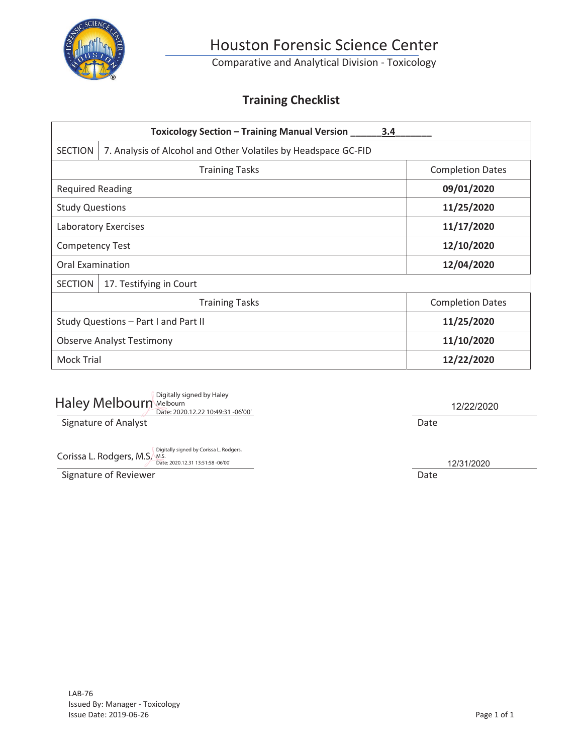

Comparative and Analytical Division - Toxicology

### **Training Checklist**

|                         | <b>Toxicology Section - Training Manual Version</b>            | 3.4                     |
|-------------------------|----------------------------------------------------------------|-------------------------|
| <b>SECTION</b>          | 7. Analysis of Alcohol and Other Volatiles by Headspace GC-FID |                         |
|                         | <b>Training Tasks</b>                                          | <b>Completion Dates</b> |
| <b>Required Reading</b> |                                                                | 09/01/2020              |
| <b>Study Questions</b>  |                                                                | 11/25/2020              |
|                         | Laboratory Exercises                                           | 11/17/2020              |
| <b>Competency Test</b>  |                                                                | 12/10/2020              |
| Oral Examination        |                                                                | 12/04/2020              |
| <b>SECTION</b>          | 17. Testifying in Court                                        |                         |
|                         | <b>Training Tasks</b>                                          | <b>Completion Dates</b> |
|                         | Study Questions - Part I and Part II                           | 11/25/2020              |
|                         | <b>Observe Analyst Testimony</b>                               | 11/10/2020              |
| <b>Mock Trial</b>       |                                                                | 12/22/2020              |

| Haley Melbourn Melbourn | Digitally signed by Haley<br>Date: 2020.12.22 10:49:31 -06'00' |      |
|-------------------------|----------------------------------------------------------------|------|
| Signature of Analyst    |                                                                | Date |

12/22/2020

Corissa L. Rodgers, M.S. Digitally signed by Corissa L. Rodgers, Corissa L. Rodgers,

Signature of Reviewer **Date** 

12/31/2020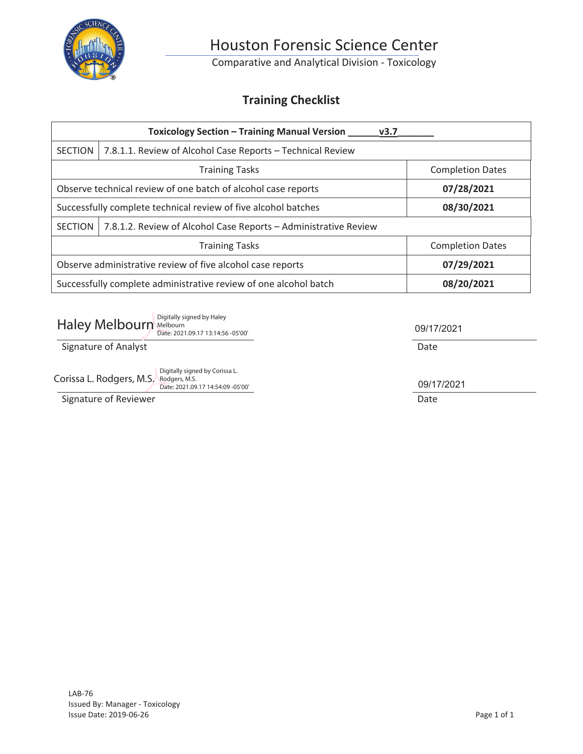

Comparative and Analytical Division - Toxicology

### **Training Checklist**

| <b>Toxicology Section - Training Manual Version</b><br>v3.7 |                                                                  |                         |
|-------------------------------------------------------------|------------------------------------------------------------------|-------------------------|
| <b>SECTION</b>                                              | 7.8.1.1. Review of Alcohol Case Reports - Technical Review       |                         |
|                                                             | <b>Training Tasks</b>                                            | <b>Completion Dates</b> |
|                                                             | Observe technical review of one batch of alcohol case reports    | 07/28/2021              |
|                                                             | Successfully complete technical review of five alcohol batches   | 08/30/2021              |
| <b>SECTION</b>                                              | 7.8.1.2. Review of Alcohol Case Reports - Administrative Review  |                         |
|                                                             | <b>Training Tasks</b>                                            | <b>Completion Dates</b> |
|                                                             | Observe administrative review of five alcohol case reports       | 07/29/2021              |
|                                                             | Successfully complete administrative review of one alcohol batch | 08/20/2021              |

| Digitally signed by Haley<br>Haley Melbourn Melbourn<br>Date: 2021.09.17 13:14:56 -05'00'                        | 09/17/2021 |
|------------------------------------------------------------------------------------------------------------------|------------|
| Signature of Analyst                                                                                             | Date       |
| Digitally signed by Corissa L.<br>Corissa L. Rodgers, M.S.<br>Rodgers, M.S.<br>Date: 2021.09.17 14:54:09 -05'00' | 09/17/2021 |
| Signature of Reviewer                                                                                            | Date       |